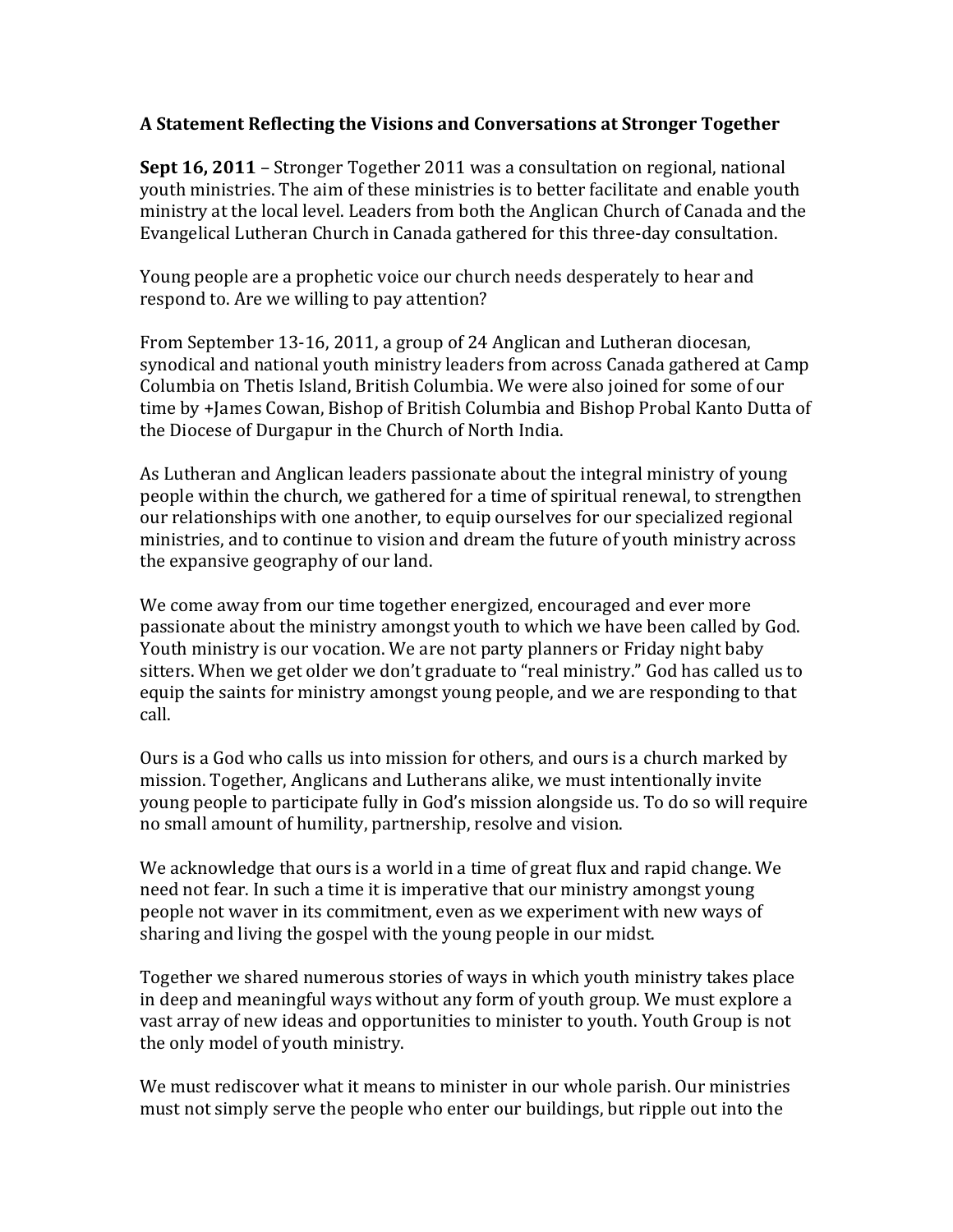## **A"Statement"Reflecting"the"Visions"and"Conversations"at"Stronger"Together**

**Sept 16, 2011** – Stronger Together 2011 was a consultation on regional, national youth ministries. The aim of these ministries is to better facilitate and enable youth ministry at the local level. Leaders from both the Anglican Church of Canada and the Evangelical Lutheran Church in Canada gathered for this three-day consultation.

Young people are a prophetic voice our church needs desperately to hear and respond to. Are we willing to pay attention?

From September 13-16, 2011, a group of 24 Anglican and Lutheran diocesan, synodical and national youth ministry leaders from across Canada gathered at Camp Columbia on Thetis Island, British Columbia. We were also joined for some of our time by +James Cowan, Bishop of British Columbia and Bishop Probal Kanto Dutta of the Diocese of Durgapur in the Church of North India.

As Lutheran and Anglican leaders passionate about the integral ministry of young people within the church, we gathered for a time of spiritual renewal, to strengthen our relationships with one another, to equip ourselves for our specialized regional ministries, and to continue to vision and dream the future of youth ministry across the expansive geography of our land.

We come away from our time together energized, encouraged and ever more passionate about the ministry amongst youth to which we have been called by God. Youth ministry is our vocation. We are not party planners or Friday night baby sitters. When we get older we don't graduate to "real ministry." God has called us to equip the saints for ministry amongst young people, and we are responding to that call.

Ours is a God who calls us into mission for others, and ours is a church marked by mission. Together, Anglicans and Lutherans alike, we must intentionally invite young people to participate fully in God's mission alongside us. To do so will require no small amount of humility, partnership, resolve and vision.

We acknowledge that ours is a world in a time of great flux and rapid change. We need not fear. In such a time it is imperative that our ministry amongst young people not waver in its commitment, even as we experiment with new ways of sharing and living the gospel with the young people in our midst.

Together we shared numerous stories of ways in which youth ministry takes place in deep and meaningful ways without any form of youth group. We must explore a vast array of new ideas and opportunities to minister to youth. Youth Group is not the only model of youth ministry.

We must rediscover what it means to minister in our whole parish. Our ministries must not simply serve the people who enter our buildings, but ripple out into the